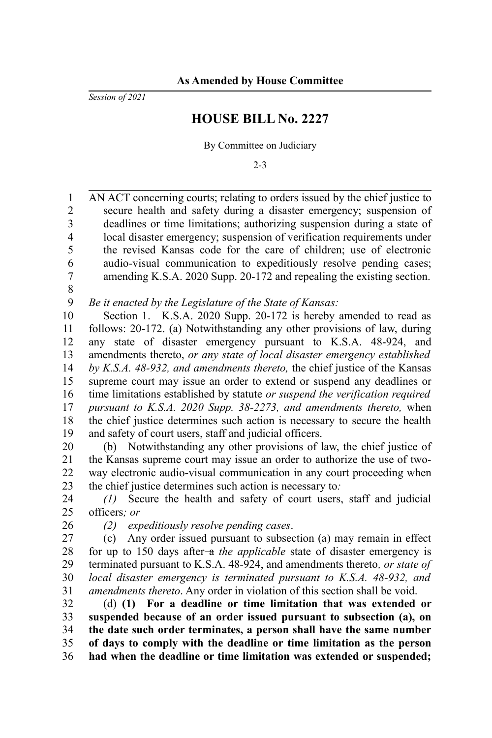*Session of 2021*

## **HOUSE BILL No. 2227**

By Committee on Judiciary

2-3

AN ACT concerning courts; relating to orders issued by the chief justice to secure health and safety during a disaster emergency; suspension of deadlines or time limitations; authorizing suspension during a state of local disaster emergency; suspension of verification requirements under the revised Kansas code for the care of children; use of electronic audio-visual communication to expeditiously resolve pending cases; amending K.S.A. 2020 Supp. 20-172 and repealing the existing section. 1 2 3 4 5 6 7

8

*Be it enacted by the Legislature of the State of Kansas:* 9

Section 1. K.S.A. 2020 Supp. 20-172 is hereby amended to read as follows: 20-172. (a) Notwithstanding any other provisions of law, during any state of disaster emergency pursuant to K.S.A. 48-924, and amendments thereto, *or any state of local disaster emergency established by K.S.A. 48-932, and amendments thereto,* the chief justice of the Kansas supreme court may issue an order to extend or suspend any deadlines or time limitations established by statute *or suspend the verification required pursuant to K.S.A. 2020 Supp. 38-2273, and amendments thereto,* when the chief justice determines such action is necessary to secure the health and safety of court users, staff and judicial officers. 10 11 12 13 14 15 16 17 18 19

(b) Notwithstanding any other provisions of law, the chief justice of the Kansas supreme court may issue an order to authorize the use of twoway electronic audio-visual communication in any court proceeding when the chief justice determines such action is necessary to*:* 20 21 22 23

*(1)* Secure the health and safety of court users, staff and judicial officers*; or* 24 25

26

*(2) expeditiously resolve pending cases*.

(c) Any order issued pursuant to subsection (a) may remain in effect for up to 150 days after-a *the applicable* state of disaster emergency is terminated pursuant to K.S.A. 48-924, and amendments thereto*, or state of local disaster emergency is terminated pursuant to K.S.A. 48-932, and amendments thereto*. Any order in violation of this section shall be void. 27 28 29 30 31

(d) **(1) For a deadline or time limitation that was extended or suspended because of an order issued pursuant to subsection (a), on the date such order terminates, a person shall have the same number of days to comply with the deadline or time limitation as the person had when the deadline or time limitation was extended or suspended;** 32 33 34 35 36